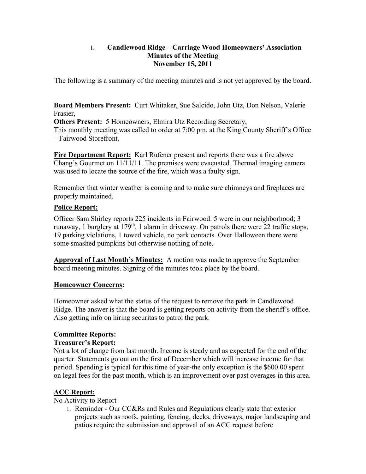#### 1. **Candlewood Ridge – Carriage Wood Homeowners' Association Minutes of the Meeting November 15, 2011**

The following is a summary of the meeting minutes and is not yet approved by the board.

**Board Members Present:** Curt Whitaker, Sue Salcido, John Utz, Don Nelson, Valerie Frasier,

**Others Present:** 5 Homeowners, Elmira Utz Recording Secretary, This monthly meeting was called to order at 7:00 pm. at the King County Sheriff's Office – Fairwood Storefront.

**Fire Department Report:** Karl Rufener present and reports there was a fire above Chang's Gourmet on 11/11/11. The premises were evacuated. Thermal imaging camera was used to locate the source of the fire, which was a faulty sign.

Remember that winter weather is coming and to make sure chimneys and fireplaces are properly maintained.

# **Police Report:**

Officer Sam Shirley reports 225 incidents in Fairwood. 5 were in our neighborhood; 3 runaway, 1 burglery at 179<sup>th</sup>, 1 alarm in driveway. On patrols there were 22 traffic stops, 19 parking violations, 1 towed vehicle, no park contacts. Over Halloween there were some smashed pumpkins but otherwise nothing of note.

**Approval of Last Month's Minutes:** A motion was made to approve the September board meeting minutes. Signing of the minutes took place by the board.

# **Homeowner Concerns:**

Homeowner asked what the status of the request to remove the park in Candlewood Ridge. The answer is that the board is getting reports on activity from the sheriff's office. Also getting info on hiring securitas to patrol the park.

# **Committee Reports:**

## **Treasurer's Report:**

Not a lot of change from last month. Income is steady and as expected for the end of the quarter. Statements go out on the first of December which will increase income for that period. Spending is typical for this time of year-the only exception is the \$600.00 spent on legal fees for the past month, which is an improvement over past overages in this area.

# **ACC Report:**

No Activity to Report

1. Reminder - Our CC&Rs and Rules and Regulations clearly state that exterior projects such as roofs, painting, fencing, decks, driveways, major landscaping and patios require the submission and approval of an ACC request before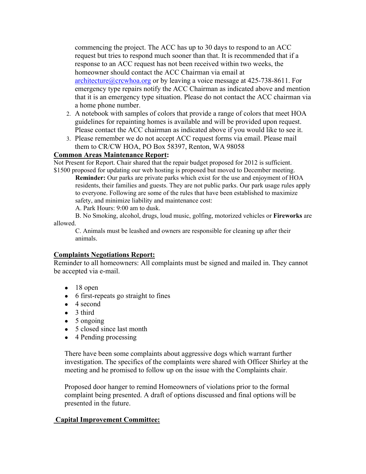commencing the project. The ACC has up to 30 days to respond to an ACC request but tries to respond much sooner than that. It is recommended that if a response to an ACC request has not been received within two weeks, the homeowner should contact the ACC Chairman via email at architecture@crcwhoa.org or by leaving a voice message at 425-738-8611. For emergency type repairs notify the ACC Chairman as indicated above and mention that it is an emergency type situation. Please do not contact the ACC chairman via a home phone number.

- 2. A notebook with samples of colors that provide a range of colors that meet HOA guidelines for repainting homes is available and will be provided upon request. Please contact the ACC chairman as indicated above if you would like to see it.
- 3. Please remember we do not accept ACC request forms via email. Please mail them to CR/CW HOA, PO Box 58397, Renton, WA 98058

#### **Common Areas Maintenance Report:**

Not Present for Report. Chair shared that the repair budget proposed for 2012 is sufficient. \$1500 proposed for updating our web hosting is proposed but moved to December meeting.

**Reminder:** Our parks are private parks which exist for the use and enjoyment of HOA residents, their families and guests. They are not public parks. Our park usage rules apply to everyone. Following are some of the rules that have been established to maximize safety, and minimize liability and maintenance cost:

A. Park Hours: 9:00 am to dusk.

B. No Smoking, alcohol, drugs, loud music, golfing, motorized vehicles or **Fireworks** are allowed.

C. Animals must be leashed and owners are responsible for cleaning up after their animals.

## **Complaints Negotiations Report:**

Reminder to all homeowners: All complaints must be signed and mailed in. They cannot be accepted via e-mail.

- $\bullet$  18 open
- 6 first-repeats go straight to fines
- $\bullet$  4 second
- 3 third
- 5 ongoing
- 5 closed since last month
- $\bullet$  4 Pending processing

There have been some complaints about aggressive dogs which warrant further investigation. The specifics of the complaints were shared with Officer Shirley at the meeting and he promised to follow up on the issue with the Complaints chair.

Proposed door hanger to remind Homeowners of violations prior to the formal complaint being presented. A draft of options discussed and final options will be presented in the future.

## **Capital Improvement Committee:**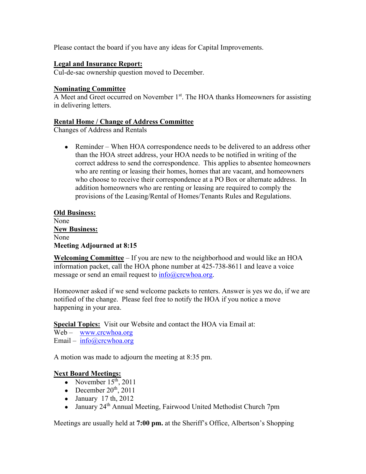Please contact the board if you have any ideas for Capital Improvements.

#### **Legal and Insurance Report:**

Cul-de-sac ownership question moved to December.

#### **Nominating Committee**

A Meet and Greet occurred on November 1<sup>st</sup>. The HOA thanks Homeowners for assisting in delivering letters.

#### **Rental Home / Change of Address Committee**

Changes of Address and Rentals

• Reminder – When HOA correspondence needs to be delivered to an address other than the HOA street address, your HOA needs to be notified in writing of the correct address to send the correspondence. This applies to absentee homeowners who are renting or leasing their homes, homes that are vacant, and homeowners who choose to receive their correspondence at a PO Box or alternate address. In addition homeowners who are renting or leasing are required to comply the provisions of the Leasing/Rental of Homes/Tenants Rules and Regulations.

#### **Old Business:**  None **New Business:**  None **Meeting Adjourned at 8:15**

**Welcoming Committee** – If you are new to the neighborhood and would like an HOA information packet, call the HOA phone number at 425-738-8611 and leave a voice message or send an email request to  $info@crcwhoa.org$ .

Homeowner asked if we send welcome packets to renters. Answer is yes we do, if we are notified of the change. Please feel free to notify the HOA if you notice a move happening in your area.

**Special Topics:** Visit our Website and contact the HOA via Email at:

Web – www.crcwhoa.org

Email –  $info@crcwhoa.org$ 

A motion was made to adjourn the meeting at 8:35 pm.

## **Next Board Meetings:**

- November  $15<sup>th</sup>$ , 2011
- December  $20<sup>th</sup>$ ,  $2011$
- $\bullet$  January 17 th, 2012
- January 24<sup>th</sup> Annual Meeting, Fairwood United Methodist Church 7pm

Meetings are usually held at **7:00 pm.** at the Sheriff's Office, Albertson's Shopping